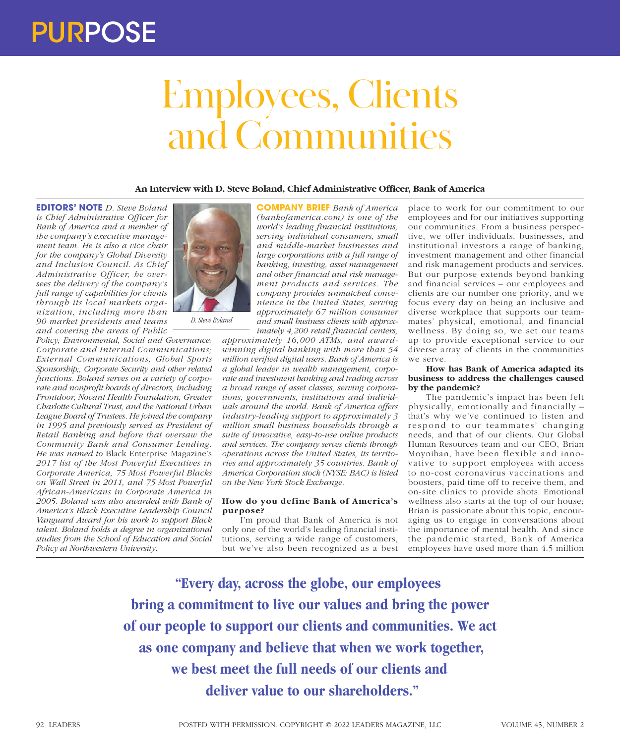# Employees, Clients and Communities

**An Interview with D. Steve Boland, Chief Administrative Officer, Bank of America**

**EDITORS' NOTE** *D. Steve Boland is Chief Administrative Officer for Bank of America and a member of the company's executive management team. He is also a vice chair for the company's Global Diversity and Inclusion Council. As Chief Administrative Officer, he oversees the delivery of the company's full range of capabilities for clients through its local markets organization, including more than 90 market presidents and teams and covering the areas of Public* 

*Policy; Environmental, Social and Governance; Corporate and Internal Communications; External Communications; Global Sports Sponsorship;, Corporate Security and other related functions. Boland serves on a variety of corporate and nonprofit boards of directors, including Frontdoor, Novant Health Foundation, Greater Charlotte Cultural Trust, and the National Urban League Board of Trustees. He joined the company in 1995 and previously served as President of Retail Banking and before that oversaw the Community Bank and Consumer Lending. He was named to* Black Enterprise Magazine's *2017 list of the Most Powerful Executives in Corporate America, 75 Most Powerful Blacks on Wall Street in 2011, and 75 Most Powerful African-Americans in Corporate America in 2005. Boland was also awarded with Bank of America's Black Executive Leadership Council Vanguard Award for his work to support Black talent. Boland holds a degree in organizational studies from the School of Education and Social Policy at Northwestern University.*



*D. Steve Boland*

**COMPANY BRIEF** *Bank of America (bankofamerica.com) is one of the world's leading financial institutions, serving individual consumers, small and middle-market businesses and large corporations with a full range of banking, investing, asset management and other financial and risk management products and services. The company provides unmatched convenience in the United States, serving approximately 67 million consumer and small business clients with approximately 4,200 retail financial centers,* 

*approximately 16,000 ATMs, and awardwinning digital banking with more than 54 million verified digital users. Bank of America is a global leader in wealth management, corporate and investment banking and trading across a broad range of asset classes, serving corporations, governments, institutions and individuals around the world. Bank of America offers industry-leading support to approximately 3 million small business households through a suite of innovative, easy-to-use online products and services. The company serves clients through operations across the United States, its territories and approximately 35 countries. Bank of America Corporation stock (NYSE: BAC) is listed on the New York Stock Exchange.*

# **How do you define Bank of America's purpose?**

I'm proud that Bank of America is not only one of the world's leading financial institutions, serving a wide range of customers, but we've also been recognized as a best

place to work for our commitment to our employees and for our initiatives supporting our communities. From a business perspective, we offer individuals, businesses, and institutional investors a range of banking, investment management and other financial and risk management products and services. But our purpose extends beyond banking and financial services – our employees and clients are our number one priority, and we focus every day on being an inclusive and diverse workplace that supports our teammates' physical, emotional, and financial wellness. By doing so, we set our teams up to provide exceptional service to our diverse array of clients in the communities we serve.

# **How has Bank of America adapted its business to address the challenges caused by the pandemic?**

The pandemic's impact has been felt physically, emotionally and financially – that's why we've continued to listen and respond to our teammates' changing needs, and that of our clients. Our Global Human Resources team and our CEO, Brian Moynihan, have been flexible and innovative to support employees with access to no-cost coronavirus vaccinations and boosters, paid time off to receive them, and on-site clinics to provide shots. Emotional wellness also starts at the top of our house; Brian is passionate about this topic, encouraging us to engage in conversations about the importance of mental health. And since the pandemic started, Bank of America employees have used more than 4.5 million

**"Every day, across the globe, our employees bring a commitment to live our values and bring the power of our people to support our clients and communities. We act as one company and believe that when we work together, we best meet the full needs of our clients and deliver value to our shareholders."**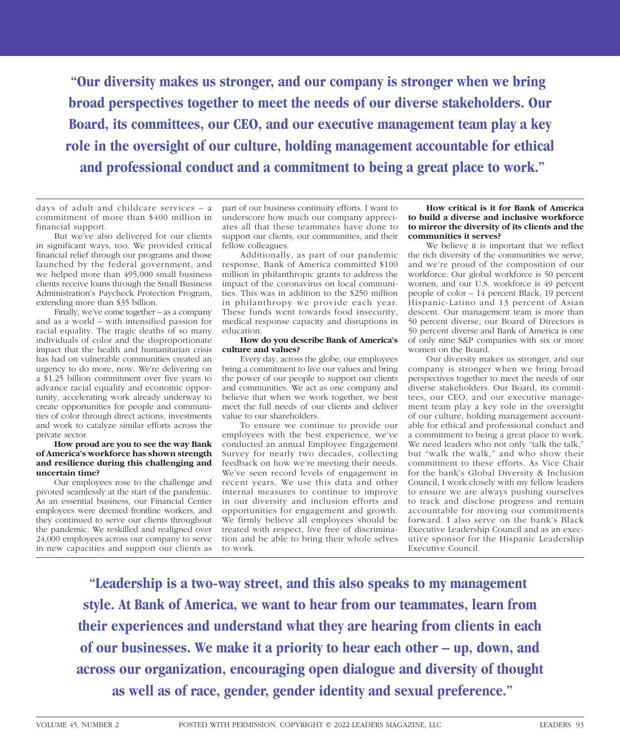**"Our diversity makes us stronger, and our company is stronger when we bring broad perspectives together to meet the needs of our diverse stakeholders. Our Board, its committees, our CEO, and our executive management team play a key role in the oversight of our culture, holding management accountable for ethical and professional conduct and a commitment to being a great place to work."**

days of adult and childcare services – a commitment of more than \$400 million in financial support.

But we've also delivered for our clients in significant ways, too. We provided critical financial relief through our programs and those launched by the federal government, and we helped more than 495,000 small business clients receive loans through the Small Business Administration's Paycheck Protection Program, extending more than \$35 billion.

Finally, we've come together – as a company and as a world – with intensified passion for racial equality. The tragic deaths of so many individuals of color and the disproportionate impact that the health and humanitarian crisis has had on vulnerable communities created an urgency to do more, now. We're delivering on a \$1.25 billion commitment over five years to advance racial equality and economic opportunity, accelerating work already underway to create opportunities for people and communities of color through direct actions, investments and work to catalyze similar efforts across the private sector.

# **How proud are you to see the way Bank of America's workforce has shown strength and resilience during this challenging and uncertain time?**

Our employees rose to the challenge and pivoted seamlessly at the start of the pandemic. As an essential business, our Financial Center employees were deemed frontline workers, and they continued to serve our clients throughout the pandemic. We reskilled and realigned over 24,000 employees across our company to serve in new capacities and support our clients as

part of our business continuity efforts. I want to underscore how much our company appreciates all that these teammates have done to support our clients, our communities, and their fellow colleagues.

Additionally, as part of our pandemic response, Bank of America committed \$100 million in philanthropic grants to address the impact of the coronavirus on local communities. This was in addition to the \$250 million in philanthropy we provide each year. These funds went towards food insecurity, medical response capacity and disruptions in education.

#### **How do you describe Bank of America's culture and values?**

Every day, across the globe, our employees bring a commitment to live our values and bring the power of our people to support our clients and communities. We act as one company and believe that when we work together, we best meet the full needs of our clients and deliver value to our shareholders.

To ensure we continue to provide our employees with the best experience, we've conducted an annual Employee Engagement Survey for nearly two decades, collecting feedback on how we're meeting their needs. We've seen record levels of engagement in recent years. We use this data and other internal measures to continue to improve in our diversity and inclusion efforts and opportunities for engagement and growth. We firmly believe all employees should be treated with respect, live free of discrimination and be able to bring their whole selves to work.

# **How critical is it for Bank of America to build a diverse and inclusive workforce to mirror the diversity of its clients and the communities it serves?**

We believe it is important that we reflect the rich diversity of the communities we serve, and we're proud of the composition of our workforce. Our global workforce is 50 percent women, and our U.S. workforce is 49 percent people of color – 14 percent Black, 19 percent Hispanic-Latino and 13 percent of Asian descent. Our management team is more than 50 percent diverse, our Board of Directors is 50 percent diverse and Bank of America is one of only nine S&P companies with six or more women on the Board.

Our diversity makes us stronger, and our company is stronger when we bring broad perspectives together to meet the needs of our diverse stakeholders. Our Board, its committees, our CEO, and our executive management team play a key role in the oversight of our culture, holding management accountable for ethical and professional conduct and a commitment to being a great place to work. We need leaders who not only "talk the talk," but "walk the walk," and who show their commitment to these efforts. As Vice Chair for the bank's Global Diversity & Inclusion Council, I work closely with my fellow leaders to ensure we are always pushing ourselves to track and disclose progress and remain accountable for moving our commitments forward. I also serve on the bank's Black Executive Leadership Council and as an executive sponsor for the Hispanic Leadership Executive Council.

**"Leadership is a two-way street, and this also speaks to my management style. At Bank of America, we want to hear from our teammates, learn from their experiences and understand what they are hearing from clients in each of our businesses. We make it a priority to hear each other – up, down, and across our organization, encouraging open dialogue and diversity of thought as well as of race, gender, gender identity and sexual preference."**